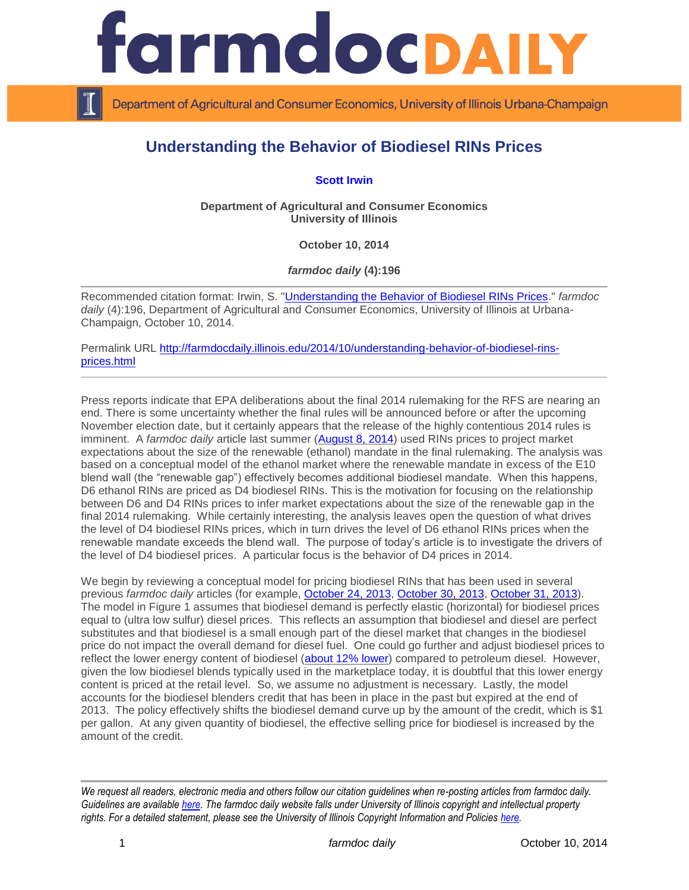

Department of Agricultural and Consumer Economics, University of Illinois Urbana-Champaign

## **Understanding the Behavior of Biodiesel RINs Prices**

**[Scott Irwin](http://www.farmdoc.illinois.edu/irwin/)**

**Department of Agricultural and Consumer Economics University of Illinois**

**October 10, 2014**

*farmdoc daily* **(4):196**

Recommended citation format: Irwin, S. ["Understanding the Behavior of Biodiesel RINs Prices.](http://farmdocdaily.illinois.edu/2014/10/understanding-behavior-of-biodiesel-rins-prices.html)" *farmdoc*  daily (4):196, Department of Agricultural and Consumer Economics, University of Illinois at Urbana-Champaign, October 10, 2014.

Permalink URL [http://farmdocdaily.illinois.edu/2014/10/understanding-behavior-of-biodiesel-rins](http://farmdocdaily.illinois.edu/2014/10/understanding-behavior-of-biodiesel-rins-prices.html)[prices.html](http://farmdocdaily.illinois.edu/2014/10/understanding-behavior-of-biodiesel-rins-prices.html)

Press reports indicate that EPA deliberations about the final 2014 rulemaking for the RFS are nearing an end. There is some uncertainty whether the final rules will be announced before or after the upcoming November election date, but it certainly appears that the release of the highly contentious 2014 rules is imminent. A *farmdoc daily* article last summer [\(August 8, 2014\)](http://farmdocdaily.illinois.edu/2014/08/rolling-back-the-write-down-of-renewable-mandate-2014.html) used RINs prices to project market expectations about the size of the renewable (ethanol) mandate in the final rulemaking. The analysis was based on a conceptual model of the ethanol market where the renewable mandate in excess of the E10 blend wall (the "renewable gap") effectively becomes additional biodiesel mandate. When this happens, D6 ethanol RINs are priced as D4 biodiesel RINs. This is the motivation for focusing on the relationship between D6 and D4 RINs prices to infer market expectations about the size of the renewable gap in the final 2014 rulemaking. While certainly interesting, the analysis leaves open the question of what drives the level of D4 biodiesel RINs prices, which in turn drives the level of D6 ethanol RINs prices when the renewable mandate exceeds the blend wall. The purpose of today's article is to investigate the drivers of the level of D4 biodiesel prices. A particular focus is the behavior of D4 prices in 2014.

We begin by reviewing a conceptual model for pricing biodiesel RINs that has been used in several previous *farmdoc daily* articles (for example, [October 24, 2013,](http://farmdocdaily.illinois.edu/2013/10/biodiesel-supply-demand-rins-pricing.html) [October 30, 2013,](http://farmdocdaily.illinois.edu/2013/10/more-on-biodiesel-rins-pricing.html) [October 31, 2013\)](http://farmdocdaily.illinois.edu/2013/10/more-on-ethanol-rins-pricing.html). The model in Figure 1 assumes that biodiesel demand is perfectly elastic (horizontal) for biodiesel prices equal to (ultra low sulfur) diesel prices. This reflects an assumption that biodiesel and diesel are perfect substitutes and that biodiesel is a small enough part of the diesel market that changes in the biodiesel price do not impact the overall demand for diesel fuel. One could go further and adjust biodiesel prices to reflect the lower energy content of biodiesel [\(about 12% lower\)](http://en.wikipedia.org/wiki/Energy_content_of_biofuel) compared to petroleum diesel. However, given the low biodiesel blends typically used in the marketplace today, it is doubtful that this lower energy content is priced at the retail level. So, we assume no adjustment is necessary. Lastly, the model accounts for the biodiesel blenders credit that has been in place in the past but expired at the end of 2013. The policy effectively shifts the biodiesel demand curve up by the amount of the credit, which is \$1 per gallon. At any given quantity of biodiesel, the effective selling price for biodiesel is increased by the amount of the credit.

*We request all readers, electronic media and others follow our citation guidelines when re-posting articles from farmdoc daily. Guidelines are available [here.](http://farmdocdaily.illinois.edu/citationguide.html) The farmdoc daily website falls under University of Illinois copyright and intellectual property rights. For a detailed statement, please see the University of Illinois Copyright Information and Policies [here.](http://www.cio.illinois.edu/policies/copyright/)*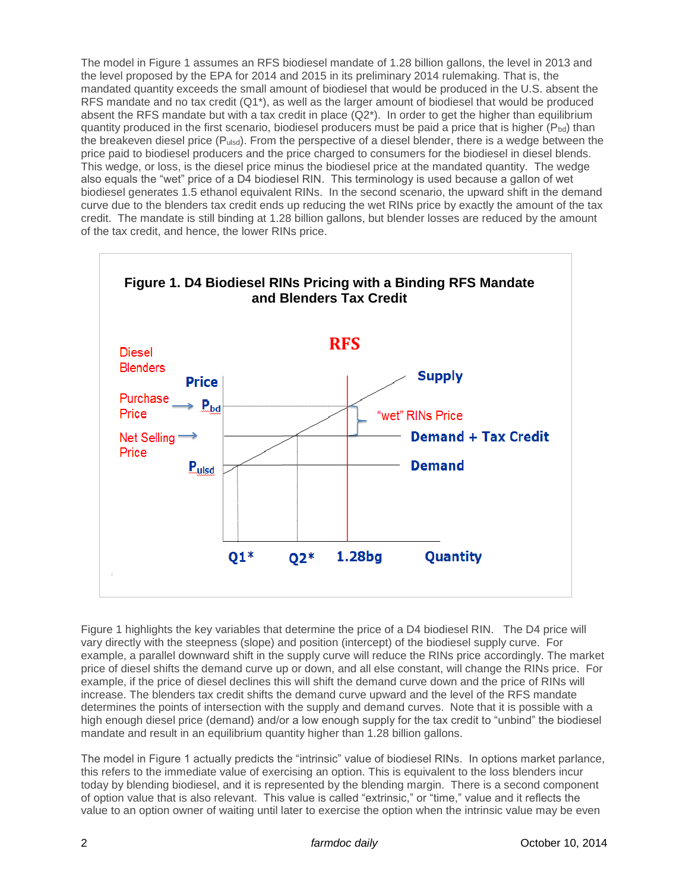The model in Figure 1 assumes an RFS biodiesel mandate of 1.28 billion gallons, the level in 2013 and the level proposed by the EPA for 2014 and 2015 in its preliminary 2014 rulemaking. That is, the mandated quantity exceeds the small amount of biodiesel that would be produced in the U.S. absent the RFS mandate and no tax credit (Q1\*), as well as the larger amount of biodiesel that would be produced absent the RFS mandate but with a tax credit in place  $(Q2^*)$ . In order to get the higher than equilibrium quantity produced in the first scenario, biodiesel producers must be paid a price that is higher ( $P_{bd}$ ) than the breakeven diesel price  $(P_{ulsd})$ . From the perspective of a diesel blender, there is a wedge between the price paid to biodiesel producers and the price charged to consumers for the biodiesel in diesel blends. This wedge, or loss, is the diesel price minus the biodiesel price at the mandated quantity. The wedge also equals the "wet" price of a D4 biodiesel RIN. This terminology is used because a gallon of wet biodiesel generates 1.5 ethanol equivalent RINs. In the second scenario, the upward shift in the demand curve due to the blenders tax credit ends up reducing the wet RINs price by exactly the amount of the tax credit. The mandate is still binding at 1.28 billion gallons, but blender losses are reduced by the amount of the tax credit, and hence, the lower RINs price.



Figure 1 highlights the key variables that determine the price of a D4 biodiesel RIN. The D4 price will vary directly with the steepness (slope) and position (intercept) of the biodiesel supply curve. For example, a parallel downward shift in the supply curve will reduce the RINs price accordingly. The market price of diesel shifts the demand curve up or down, and all else constant, will change the RINs price. For example, if the price of diesel declines this will shift the demand curve down and the price of RINs will increase. The blenders tax credit shifts the demand curve upward and the level of the RFS mandate determines the points of intersection with the supply and demand curves. Note that it is possible with a high enough diesel price (demand) and/or a low enough supply for the tax credit to "unbind" the biodiesel mandate and result in an equilibrium quantity higher than 1.28 billion gallons.

The model in Figure 1 actually predicts the "intrinsic" value of biodiesel RINs. In options market parlance, this refers to the immediate value of exercising an option. This is equivalent to the loss blenders incur today by blending biodiesel, and it is represented by the blending margin. There is a second component of option value that is also relevant. This value is called "extrinsic," or "time," value and it reflects the value to an option owner of waiting until later to exercise the option when the intrinsic value may be even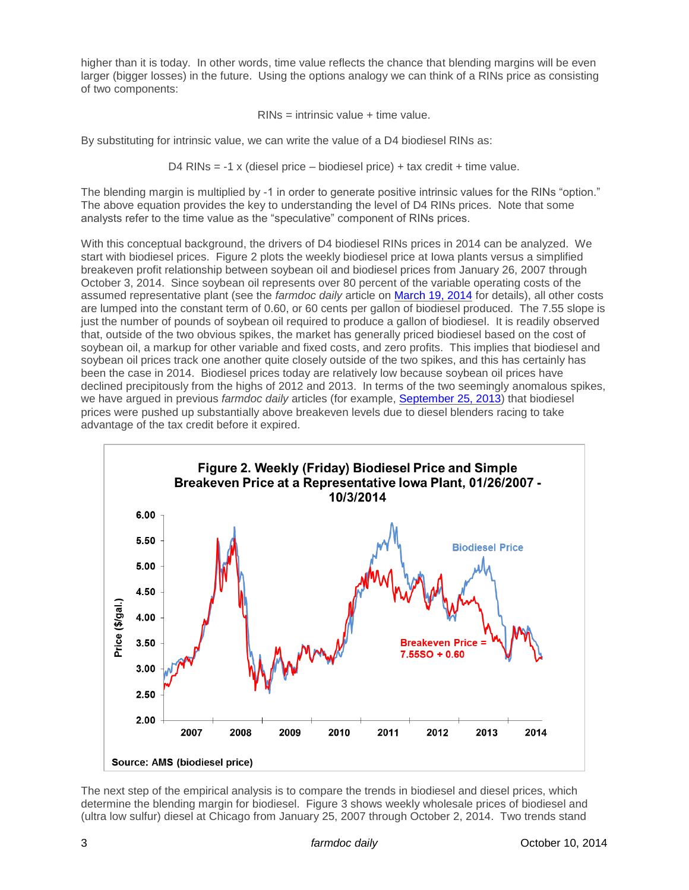higher than it is today. In other words, time value reflects the chance that blending margins will be even larger (bigger losses) in the future. Using the options analogy we can think of a RINs price as consisting of two components:

RINs = intrinsic value + time value.

By substituting for intrinsic value, we can write the value of a D4 biodiesel RINs as:

D4 RINs = -1 x (diesel price – biodiesel price) + tax credit + time value.

The blending margin is multiplied by -1 in order to generate positive intrinsic values for the RINs "option." The above equation provides the key to understanding the level of D4 RINs prices. Note that some analysts refer to the time value as the "speculative" component of RINs prices.

With this conceptual background, the drivers of D4 biodiesel RINs prices in 2014 can be analyzed. We start with biodiesel prices. Figure 2 plots the weekly biodiesel price at Iowa plants versus a simplified breakeven profit relationship between soybean oil and biodiesel prices from January 26, 2007 through October 3, 2014. Since soybean oil represents over 80 percent of the variable operating costs of the assumed representative plant (see the *farmdoc daily* article on [March 19, 2014](file:///C:/Users/farmdocuser/Documents/farmdocdaily/10102014/Press%20reports%20indicate%20that%20EPA%20deliberations%20about%20the%20final%202014%20rulemaking%20for%20the%20RFS%20are%20nearing%20an%20end.%20There%20is%20some%20uncertainty%20whether%20the%20final%20rules%20will%20be%20announced%20before%20or%20after%20the%20upcoming%20November%20election%20date,%20but%20it%20certainly%20appears%20that%20the%20release%20of%20the%20highly%20contentious%202014%20rules%20is%20imminent.%20%20A%20farmdoc%20daily%20article%20last%20summer%20(August%208,%202014)%20used%20RINs%20prices%20to%20project%20market%20expectations%20about%20the%20size%20of%20the%20renewable%20(ethanol)%20mandate%20in%20the%20final%20rulemaking.%20The%20analysis%20was%20based%20on%20a%20conceptual%20model%20of%20the%20ethanol%20market%20where%20the%20renewable%20mandate%20in%20excess%20of%20the%20E10%20blend%20wall%20(the) for details), all other costs are lumped into the constant term of 0.60, or 60 cents per gallon of biodiesel produced. The 7.55 slope is just the number of pounds of soybean oil required to produce a gallon of biodiesel. It is readily observed that, outside of the two obvious spikes, the market has generally priced biodiesel based on the cost of soybean oil, a markup for other variable and fixed costs, and zero profits. This implies that biodiesel and soybean oil prices track one another quite closely outside of the two spikes, and this has certainly has been the case in 2014. Biodiesel prices today are relatively low because soybean oil prices have declined precipitously from the highs of 2012 and 2013. In terms of the two seemingly anomalous spikes, we have argued in previous *farmdoc daily* articles (for example, [September 25, 2013\)](http://farmdocdaily.illinois.edu/2013/09/biodiesel-supply-response-production-profits.html) that biodiesel prices were pushed up substantially above breakeven levels due to diesel blenders racing to take advantage of the tax credit before it expired.



The next step of the empirical analysis is to compare the trends in biodiesel and diesel prices, which determine the blending margin for biodiesel. Figure 3 shows weekly wholesale prices of biodiesel and (ultra low sulfur) diesel at Chicago from January 25, 2007 through October 2, 2014. Two trends stand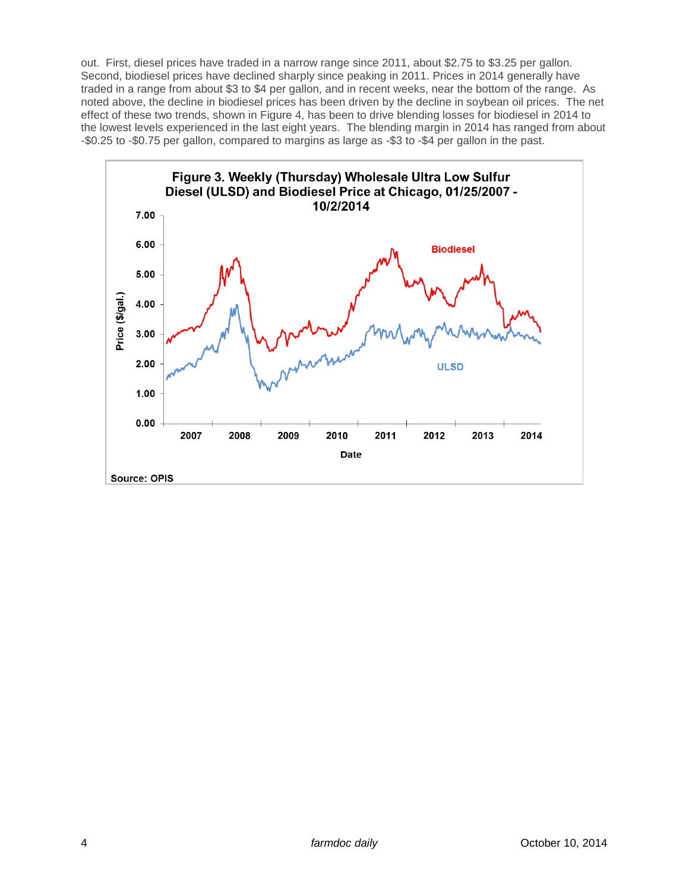out. First, diesel prices have traded in a narrow range since 2011, about \$2.75 to \$3.25 per gallon. Second, biodiesel prices have declined sharply since peaking in 2011. Prices in 2014 generally have traded in a range from about \$3 to \$4 per gallon, and in recent weeks, near the bottom of the range. As noted above, the decline in biodiesel prices has been driven by the decline in soybean oil prices. The net effect of these two trends, shown in Figure 4, has been to drive blending losses for biodiesel in 2014 to the lowest levels experienced in the last eight years. The blending margin in 2014 has ranged from about -\$0.25 to -\$0.75 per gallon, compared to margins as large as -\$3 to -\$4 per gallon in the past.

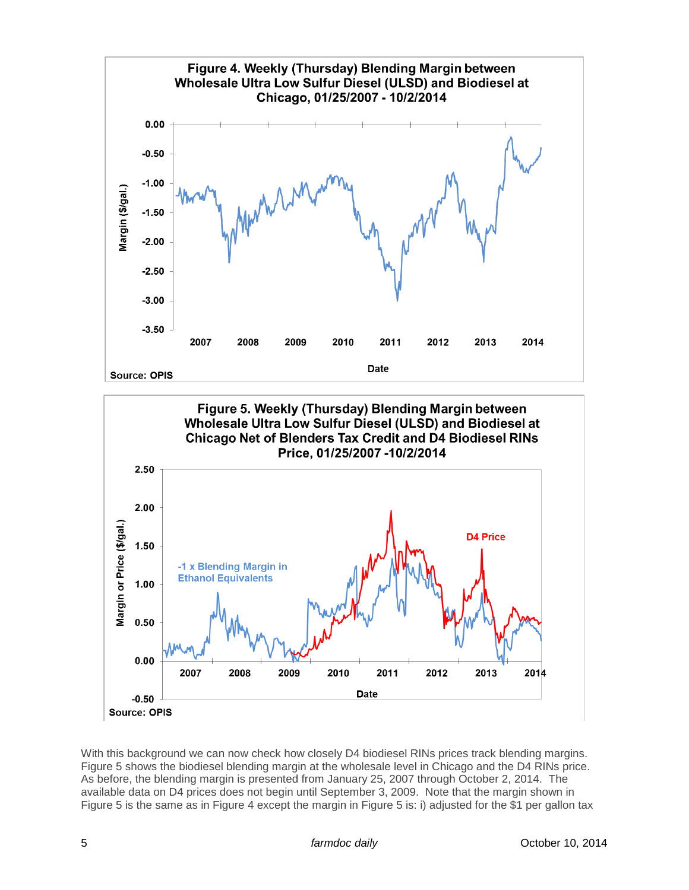



With this background we can now check how closely D4 biodiesel RINs prices track blending margins. Figure 5 shows the biodiesel blending margin at the wholesale level in Chicago and the D4 RINs price. As before, the blending margin is presented from January 25, 2007 through October 2, 2014. The available data on D4 prices does not begin until September 3, 2009. Note that the margin shown in Figure 5 is the same as in Figure 4 except the margin in Figure 5 is: i) adjusted for the \$1 per gallon tax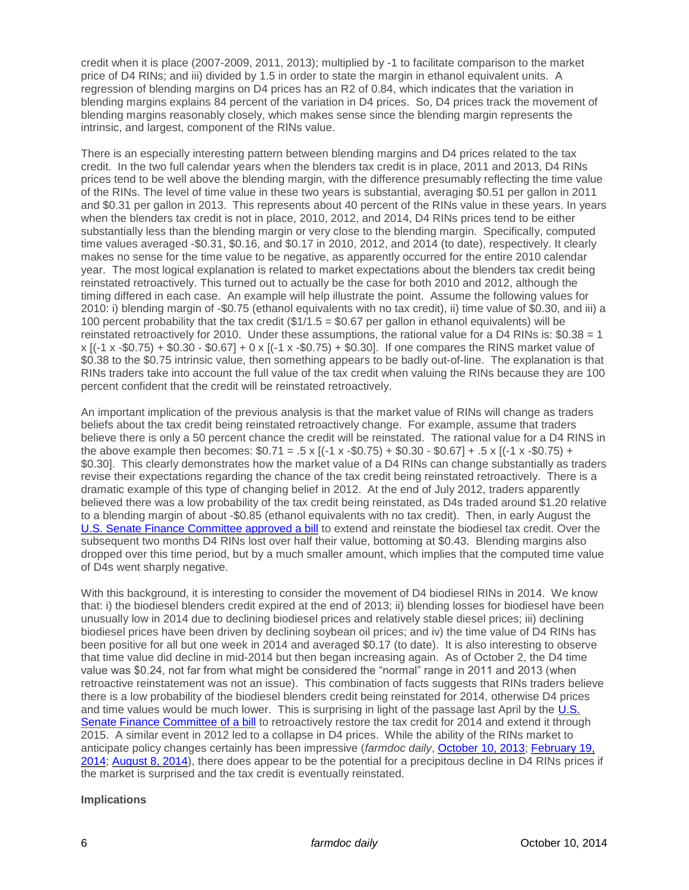credit when it is place (2007-2009, 2011, 2013); multiplied by -1 to facilitate comparison to the market price of D4 RINs; and iii) divided by 1.5 in order to state the margin in ethanol equivalent units. A regression of blending margins on D4 prices has an R2 of 0.84, which indicates that the variation in blending margins explains 84 percent of the variation in D4 prices. So, D4 prices track the movement of blending margins reasonably closely, which makes sense since the blending margin represents the intrinsic, and largest, component of the RINs value.

There is an especially interesting pattern between blending margins and D4 prices related to the tax credit. In the two full calendar years when the blenders tax credit is in place, 2011 and 2013, D4 RINs prices tend to be well above the blending margin, with the difference presumably reflecting the time value of the RINs. The level of time value in these two years is substantial, averaging \$0.51 per gallon in 2011 and \$0.31 per gallon in 2013. This represents about 40 percent of the RINs value in these years. In years when the blenders tax credit is not in place, 2010, 2012, and 2014, D4 RINs prices tend to be either substantially less than the blending margin or very close to the blending margin. Specifically, computed time values averaged -\$0.31, \$0.16, and \$0.17 in 2010, 2012, and 2014 (to date), respectively. It clearly makes no sense for the time value to be negative, as apparently occurred for the entire 2010 calendar year. The most logical explanation is related to market expectations about the blenders tax credit being reinstated retroactively. This turned out to actually be the case for both 2010 and 2012, although the timing differed in each case. An example will help illustrate the point. Assume the following values for 2010: i) blending margin of -\$0.75 (ethanol equivalents with no tax credit), ii) time value of \$0.30, and iii) a 100 percent probability that the tax credit  $(\$1/1.5 = \$0.67$  per gallon in ethanol equivalents) will be reinstated retroactively for 2010. Under these assumptions, the rational value for a D4 RINs is: \$0.38 = 1 x [(-1 x -\$0.75) + \$0.30 - \$0.67] + 0 x [(-1 x -\$0.75) + \$0.30]. If one compares the RINS market value of \$0.38 to the \$0.75 intrinsic value, then something appears to be badly out-of-line. The explanation is that RINs traders take into account the full value of the tax credit when valuing the RINs because they are 100 percent confident that the credit will be reinstated retroactively.

An important implication of the previous analysis is that the market value of RINs will change as traders beliefs about the tax credit being reinstated retroactively change. For example, assume that traders believe there is only a 50 percent chance the credit will be reinstated. The rational value for a D4 RINS in the above example then becomes:  $$0.71 = .5 \times [(-1 \times -\$0.75) + \$0.30 - \$0.67] + .5 \times [(-1 \times -\$0.75) +$ \$0.30]. This clearly demonstrates how the market value of a D4 RINs can change substantially as traders revise their expectations regarding the chance of the tax credit being reinstated retroactively. There is a dramatic example of this type of changing belief in 2012. At the end of July 2012, traders apparently believed there was a low probability of the tax credit being reinstated, as D4s traded around \$1.20 relative to a blending margin of about -\$0.85 (ethanol equivalents with no tax credit). Then, in early August the [U.S. Senate Finance Committee approved a bill](http://www.biodiesel.org/news/news-display/2012/08/02/senate-finance-committee-approves-extension-of-biodiesel-tax-incentive) to extend and reinstate the biodiesel tax credit. Over the subsequent two months D4 RINs lost over half their value, bottoming at \$0.43. Blending margins also dropped over this time period, but by a much smaller amount, which implies that the computed time value of D4s went sharply negative.

With this background, it is interesting to consider the movement of D4 biodiesel RINs in 2014. We know that: i) the biodiesel blenders credit expired at the end of 2013; ii) blending losses for biodiesel have been unusually low in 2014 due to declining biodiesel prices and relatively stable diesel prices; iii) declining biodiesel prices have been driven by declining soybean oil prices; and iv) the time value of D4 RINs has been positive for all but one week in 2014 and averaged \$0.17 (to date). It is also interesting to observe that time value did decline in mid-2014 but then began increasing again. As of October 2, the D4 time value was \$0.24, not far from what might be considered the "normal" range in 2011 and 2013 (when retroactive reinstatement was not an issue). This combination of facts suggests that RINs traders believe there is a low probability of the biodiesel blenders credit being reinstated for 2014, otherwise D4 prices and time values would be much lower. This is surprising in light of the passage last April by the [U.S.](http://www.platts.com/latest-news/agriculture/washington/us-senate-committee-restores-biodiesel-cellulosic-21424146)  [Senate Finance Committee of a bill](http://www.platts.com/latest-news/agriculture/washington/us-senate-committee-restores-biodiesel-cellulosic-21424146) to retroactively restore the tax credit for 2014 and extend it through 2015. A similar event in 2012 led to a collapse in D4 prices. While the ability of the RINs market to anticipate policy changes certainly has been impressive (*farmdoc daily*, [October 10, 2013;](http://farmdocdaily.illinois.edu/2013/10/whats-behind-the-plunge-in-rin.html) [February 19,](http://farmdocdaily.illinois.edu/2014/02/epa-renewable-mandate-2014-message-from-rins-market.html)  [2014;](http://farmdocdaily.illinois.edu/2014/02/epa-renewable-mandate-2014-message-from-rins-market.html) [August 8, 2014\)](http://farmdocdaily.illinois.edu/2014/08/rolling-back-the-write-down-of-renewable-mandate-2014.html), there does appear to be the potential for a precipitous decline in D4 RINs prices if the market is surprised and the tax credit is eventually reinstated.

## **Implications**